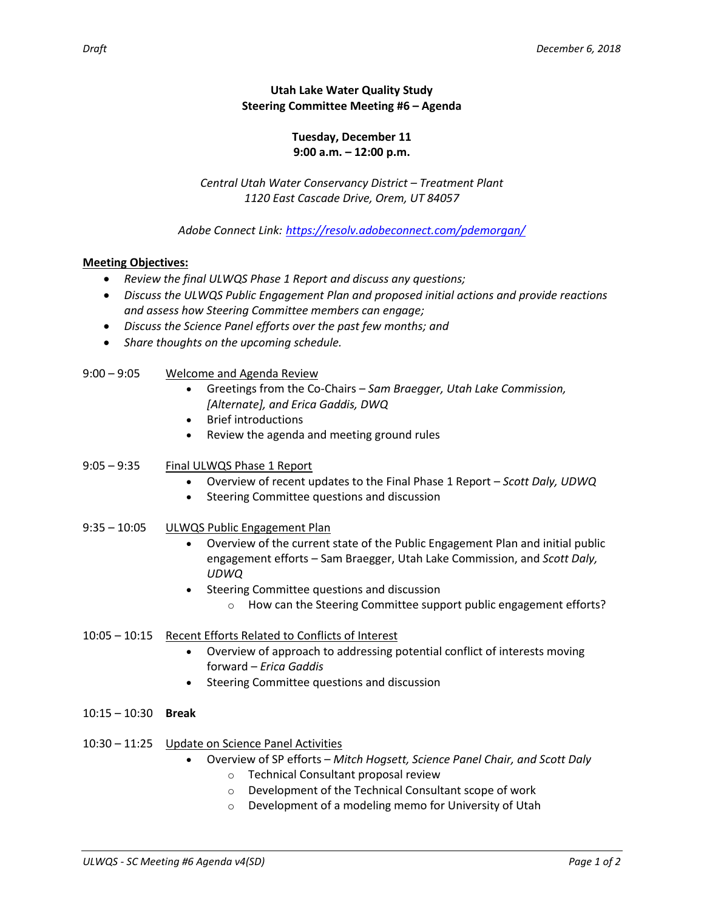## **Utah Lake Water Quality Study Steering Committee Meeting #6 – Agenda**

## **Tuesday, December 11 9:00 a.m. – 12:00 p.m.**

*Central Utah Water Conservancy District – Treatment Plant 1120 East Cascade Drive, Orem, UT 84057*

## *Adobe Connect Link: <https://resolv.adobeconnect.com/pdemorgan/>*

## **Meeting Objectives:**

- *Review the final ULWQS Phase 1 Report and discuss any questions;*
- *Discuss the ULWQS Public Engagement Plan and proposed initial actions and provide reactions and assess how Steering Committee members can engage;*
- *Discuss the Science Panel efforts over the past few months; and*
- *Share thoughts on the upcoming schedule.*
- 9:00 9:05 Welcome and Agenda Review
	- Greetings from the Co-Chairs *Sam Braegger, Utah Lake Commission, [Alternate], and Erica Gaddis, DWQ*
	- Brief introductions
	- Review the agenda and meeting ground rules
- 9:05 9:35 Final ULWQS Phase 1 Report
	- Overview of recent updates to the Final Phase 1 Report *Scott Daly, UDWQ*
	- Steering Committee questions and discussion
- 9:35 10:05 ULWQS Public Engagement Plan
	- Overview of the current state of the Public Engagement Plan and initial public engagement efforts – Sam Braegger, Utah Lake Commission, and *Scott Daly, UDWQ*
	- Steering Committee questions and discussion
		- o How can the Steering Committee support public engagement efforts?
- 10:05 10:15 Recent Efforts Related to Conflicts of Interest
	- Overview of approach to addressing potential conflict of interests moving forward – *Erica Gaddis*
	- Steering Committee questions and discussion
- 10:15 10:30 **Break**
- 10:30 11:25 Update on Science Panel Activities
	- Overview of SP efforts *Mitch Hogsett, Science Panel Chair, and Scott Daly*
		- o Technical Consultant proposal review
		- o Development of the Technical Consultant scope of work
		- o Development of a modeling memo for University of Utah